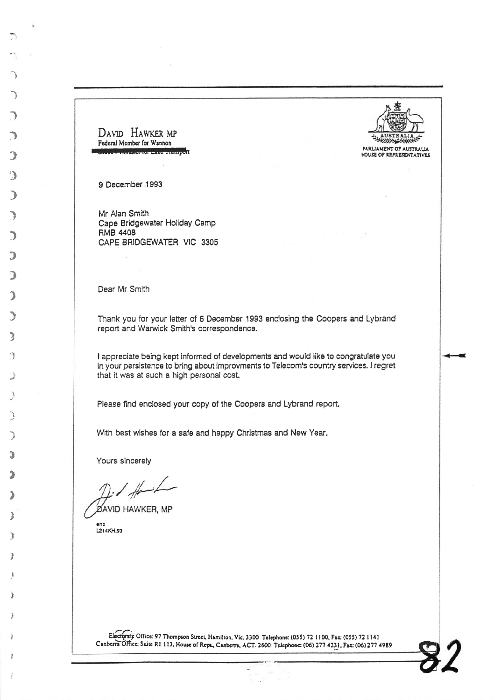PARLIAMENT OF AUSTRALIA<br>HOUSE OF REPRESENTATIYES

 $\boldsymbol{\delta}$ 

DAVID HAWKER MP Federal Member for Wannon

9 December 1993

I

)

 $\bigcup$ 

:)

3

)

)

)

)

3

}

a t

)

I

t - )

D

,

l

)<br>)

)

,

I

Mr Alan Smith Cape Bridgewater Holiday Camp RMB 4408 CAPE BRIDGEWATER VIC 3305

Dear Mr Smith

Thank you for your letter of 6 December 1993 enclosing the Coopers and Lybrand report and Warwick Smith's correspondence.

I appreciate being kept informed of developments and would like to congratulate you in your persistence to bring about improvments to Telecom's country services. I regret that it was at such a high personal cost.

Please find enclosed your copy of the Coopers and Lybrand report.

With best wishes for a safe and happy Christmas and New Year.

Yours sincerely

**DAVID HAWKER, MP** 

anc 12t4xH.93

Electernic Office: 97 Thompson Street, Hamilton, Vic. 3300 Telephone: (055) 72 1100, Fax: (055) 72 1141 Canberra Office: Suite R1 113, House of Reps., Canberra, ACT. 2600 Telephone: (06) 277 4231. Fax: (06) 277 4989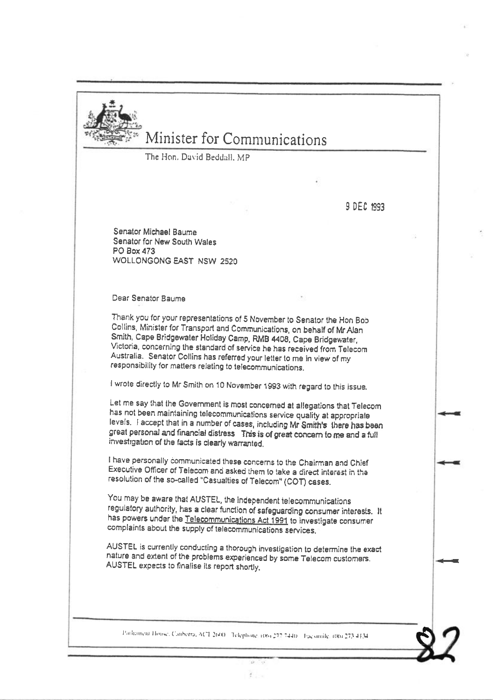

## Minister for Communications

The Hon, David Beddall, MP

9 DEC 1993

Senator Michael Baume Senator for New South Wales PO Box 473 WOLLONGONG EAST NSW 2520

Dear Senator Baume

Thank you for your representations of 5 November to Senator the Hon Bob Collins, Minister for Transport and Communications, on behalf of Mr Alan Smith, Cape Bridgewater Holiday Camp, RMB 4408, Cape Bridgewater, Victoria, concerning the standard of service he has received from Telecom Australia. Senator Collins has referred your letter to me in view of my responsibility for matters relating to telecommunications.

I wrote directly to Mr Smith on 10 November 1993 with regard to this issue.

Let me say that the Government is most concerned at allegations that Telecom has not been maintaining telecommunications service quality at appropriate levels. I accept that in a number of cases, including Mr Smith's there has been great personal and financial distress This is of great concern to me and a full investigation of the facts is clearly warranted.

I have personally communicated these concerns to the Chairman and Chief Executive Officer of Telecom and asked them to take a direct interest in the resolution of the so-called "Casualties of Telecom" (COT) cases.

You may be aware that AUSTEL, the independent telecommunications regulatory authority, has a clear function of safeguarding consumer interests. It has powers under the Telecommunications Act 1991 to investigate consumer complaints about the supply of telecommunications services.

AUSTEL is currently conducting a thorough investigation to determine the exact nature and extent of the problems experienced by some Telecom customers. AUSTEL expects to finalise its report shortly.

Parliament House, Canberra, ACT 2600 Telephone, 1063-222-7440 - Facsimile, 680-273-4134